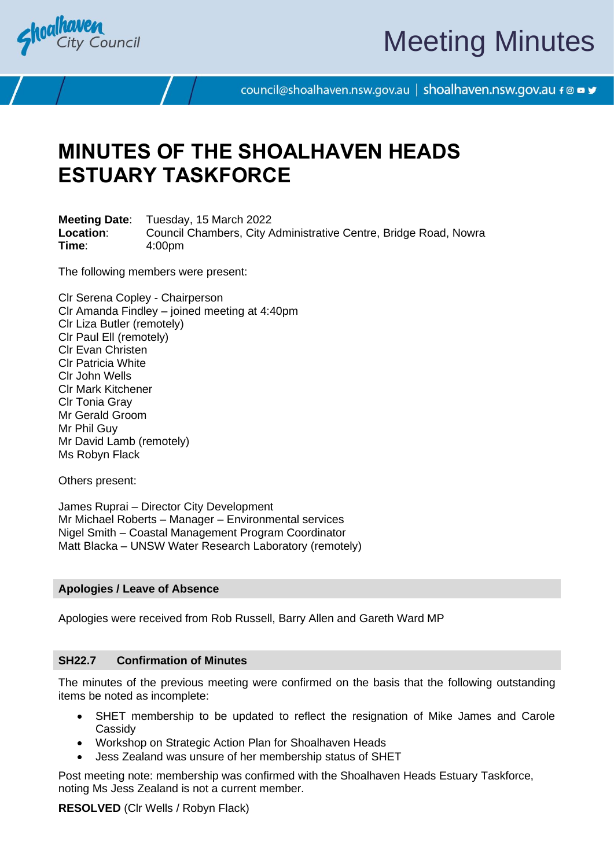

# Meeting Minutes

council@shoalhaven.nsw.gov.au | shoalhaven.nsw.gov.au f @ ■ y

## **MINUTES OF THE SHOALHAVEN HEADS ESTUARY TASKFORCE**

**Meeting Date**: Tuesday, 15 March 2022 **Location**: Council Chambers, City Administrative Centre, Bridge Road, Nowra **Time**: 4:00pm

The following members were present:

Clr Serena Copley - Chairperson Clr Amanda Findley – joined meeting at 4:40pm Clr Liza Butler (remotely) Clr Paul Ell (remotely) Clr Evan Christen Clr Patricia White Clr John Wells Clr Mark Kitchener Clr Tonia Gray Mr Gerald Groom Mr Phil Guy Mr David Lamb (remotely) Ms Robyn Flack

Others present:

James Ruprai – Director City Development Mr Michael Roberts – Manager – Environmental services Nigel Smith – Coastal Management Program Coordinator Matt Blacka – UNSW Water Research Laboratory (remotely)

#### **Apologies / Leave of Absence**

Apologies were received from Rob Russell, Barry Allen and Gareth Ward MP

#### **SH22.7 Confirmation of Minutes**

The minutes of the previous meeting were confirmed on the basis that the following outstanding items be noted as incomplete:

- SHET membership to be updated to reflect the resignation of Mike James and Carole **Cassidv**
- Workshop on Strategic Action Plan for Shoalhaven Heads
- Jess Zealand was unsure of her membership status of SHET

Post meeting note: membership was confirmed with the Shoalhaven Heads Estuary Taskforce, noting Ms Jess Zealand is not a current member.

**RESOLVED** (Clr Wells / Robyn Flack)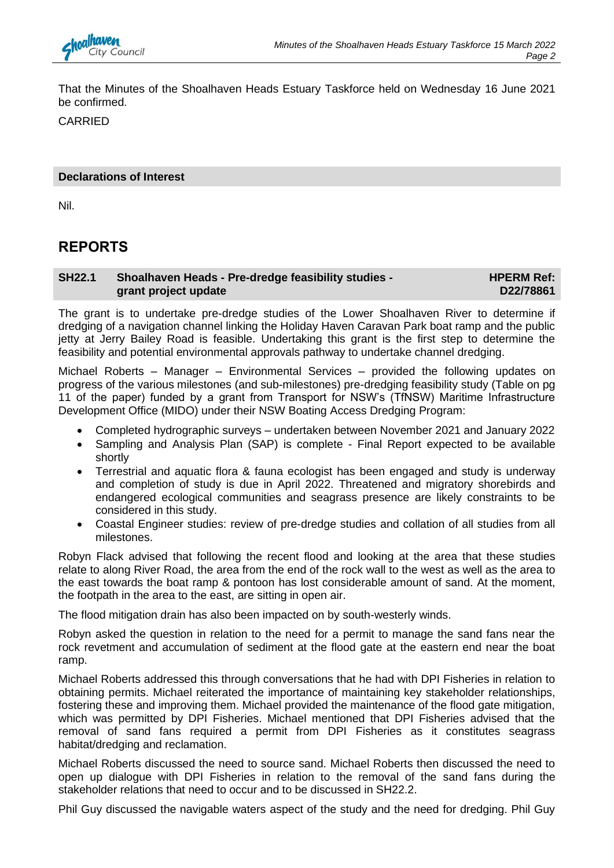

That the Minutes of the Shoalhaven Heads Estuary Taskforce held on Wednesday 16 June 2021 be confirmed.

CARRIED

#### **Declarations of Interest**

Nil.

## **REPORTS**

#### **SH22.1 Shoalhaven Heads - Pre-dredge feasibility studies grant project update HPERM Ref: D22/78861**

The grant is to undertake pre-dredge studies of the Lower Shoalhaven River to determine if dredging of a navigation channel linking the Holiday Haven Caravan Park boat ramp and the public jetty at Jerry Bailey Road is feasible. Undertaking this grant is the first step to determine the feasibility and potential environmental approvals pathway to undertake channel dredging.

Michael Roberts – Manager – Environmental Services – provided the following updates on progress of the various milestones (and sub-milestones) pre-dredging feasibility study (Table on pg 11 of the paper) funded by a grant from Transport for NSW's (TfNSW) Maritime Infrastructure Development Office (MIDO) under their NSW Boating Access Dredging Program:

- Completed hydrographic surveys undertaken between November 2021 and January 2022
- Sampling and Analysis Plan (SAP) is complete Final Report expected to be available shortly
- Terrestrial and aquatic flora & fauna ecologist has been engaged and study is underway and completion of study is due in April 2022. Threatened and migratory shorebirds and endangered ecological communities and seagrass presence are likely constraints to be considered in this study.
- Coastal Engineer studies: review of pre-dredge studies and collation of all studies from all milestones.

Robyn Flack advised that following the recent flood and looking at the area that these studies relate to along River Road, the area from the end of the rock wall to the west as well as the area to the east towards the boat ramp & pontoon has lost considerable amount of sand. At the moment, the footpath in the area to the east, are sitting in open air.

The flood mitigation drain has also been impacted on by south-westerly winds.

Robyn asked the question in relation to the need for a permit to manage the sand fans near the rock revetment and accumulation of sediment at the flood gate at the eastern end near the boat ramp.

Michael Roberts addressed this through conversations that he had with DPI Fisheries in relation to obtaining permits. Michael reiterated the importance of maintaining key stakeholder relationships, fostering these and improving them. Michael provided the maintenance of the flood gate mitigation, which was permitted by DPI Fisheries. Michael mentioned that DPI Fisheries advised that the removal of sand fans required a permit from DPI Fisheries as it constitutes seagrass habitat/dredging and reclamation.

Michael Roberts discussed the need to source sand. Michael Roberts then discussed the need to open up dialogue with DPI Fisheries in relation to the removal of the sand fans during the stakeholder relations that need to occur and to be discussed in SH22.2.

Phil Guy discussed the navigable waters aspect of the study and the need for dredging. Phil Guy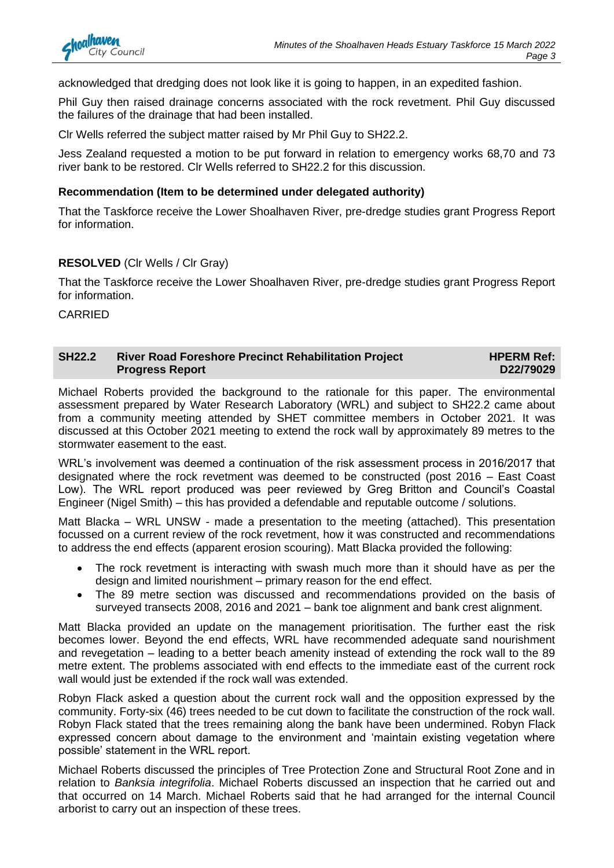

acknowledged that dredging does not look like it is going to happen, in an expedited fashion.

Phil Guy then raised drainage concerns associated with the rock revetment. Phil Guy discussed the failures of the drainage that had been installed.

Clr Wells referred the subject matter raised by Mr Phil Guy to SH22.2.

Jess Zealand requested a motion to be put forward in relation to emergency works 68,70 and 73 river bank to be restored. Clr Wells referred to SH22.2 for this discussion.

#### **Recommendation (Item to be determined under delegated authority)**

That the Taskforce receive the Lower Shoalhaven River, pre-dredge studies grant Progress Report for information.

#### **RESOLVED** (Clr Wells / Clr Gray)

That the Taskforce receive the Lower Shoalhaven River, pre-dredge studies grant Progress Report for information.

CARRIED

#### **SH22.2 River Road Foreshore Precinct Rehabilitation Project Progress Report HPERM Ref: D22/79029**

Michael Roberts provided the background to the rationale for this paper. The environmental assessment prepared by Water Research Laboratory (WRL) and subject to SH22.2 came about from a community meeting attended by SHET committee members in October 2021. It was discussed at this October 2021 meeting to extend the rock wall by approximately 89 metres to the stormwater easement to the east.

WRL's involvement was deemed a continuation of the risk assessment process in 2016/2017 that designated where the rock revetment was deemed to be constructed (post 2016 – East Coast Low). The WRL report produced was peer reviewed by Greg Britton and Council's Coastal Engineer (Nigel Smith) – this has provided a defendable and reputable outcome / solutions.

Matt Blacka – WRL UNSW - made a presentation to the meeting (attached). This presentation focussed on a current review of the rock revetment, how it was constructed and recommendations to address the end effects (apparent erosion scouring). Matt Blacka provided the following:

- The rock revetment is interacting with swash much more than it should have as per the design and limited nourishment – primary reason for the end effect.
- The 89 metre section was discussed and recommendations provided on the basis of surveyed transects 2008, 2016 and 2021 – bank toe alignment and bank crest alignment.

Matt Blacka provided an update on the management prioritisation. The further east the risk becomes lower. Beyond the end effects, WRL have recommended adequate sand nourishment and revegetation – leading to a better beach amenity instead of extending the rock wall to the 89 metre extent. The problems associated with end effects to the immediate east of the current rock wall would just be extended if the rock wall was extended.

Robyn Flack asked a question about the current rock wall and the opposition expressed by the community. Forty-six (46) trees needed to be cut down to facilitate the construction of the rock wall. Robyn Flack stated that the trees remaining along the bank have been undermined. Robyn Flack expressed concern about damage to the environment and 'maintain existing vegetation where possible' statement in the WRL report.

Michael Roberts discussed the principles of Tree Protection Zone and Structural Root Zone and in relation to *Banksia integrifolia*. Michael Roberts discussed an inspection that he carried out and that occurred on 14 March. Michael Roberts said that he had arranged for the internal Council arborist to carry out an inspection of these trees.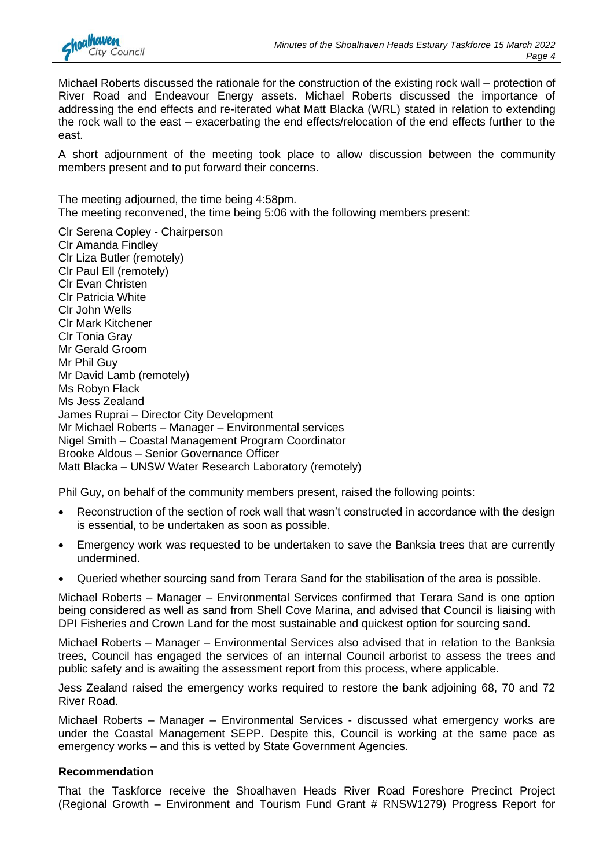

Michael Roberts discussed the rationale for the construction of the existing rock wall – protection of River Road and Endeavour Energy assets. Michael Roberts discussed the importance of addressing the end effects and re-iterated what Matt Blacka (WRL) stated in relation to extending the rock wall to the east – exacerbating the end effects/relocation of the end effects further to the east.

A short adjournment of the meeting took place to allow discussion between the community members present and to put forward their concerns.

The meeting adjourned, the time being 4:58pm. The meeting reconvened, the time being 5:06 with the following members present:

Clr Serena Copley - Chairperson Clr Amanda Findley Clr Liza Butler (remotely) Clr Paul Ell (remotely) Clr Evan Christen Clr Patricia White Clr John Wells Clr Mark Kitchener Clr Tonia Gray Mr Gerald Groom Mr Phil Guy Mr David Lamb (remotely) Ms Robyn Flack Ms Jess Zealand James Ruprai – Director City Development Mr Michael Roberts – Manager – Environmental services Nigel Smith – Coastal Management Program Coordinator Brooke Aldous – Senior Governance Officer Matt Blacka – UNSW Water Research Laboratory (remotely)

Phil Guy, on behalf of the community members present, raised the following points:

- Reconstruction of the section of rock wall that wasn't constructed in accordance with the design is essential, to be undertaken as soon as possible.
- Emergency work was requested to be undertaken to save the Banksia trees that are currently undermined.
- Queried whether sourcing sand from Terara Sand for the stabilisation of the area is possible.

Michael Roberts – Manager – Environmental Services confirmed that Terara Sand is one option being considered as well as sand from Shell Cove Marina, and advised that Council is liaising with DPI Fisheries and Crown Land for the most sustainable and quickest option for sourcing sand.

Michael Roberts – Manager – Environmental Services also advised that in relation to the Banksia trees, Council has engaged the services of an internal Council arborist to assess the trees and public safety and is awaiting the assessment report from this process, where applicable.

Jess Zealand raised the emergency works required to restore the bank adjoining 68, 70 and 72 River Road.

Michael Roberts – Manager – Environmental Services - discussed what emergency works are under the Coastal Management SEPP. Despite this, Council is working at the same pace as emergency works – and this is vetted by State Government Agencies.

#### **Recommendation**

That the Taskforce receive the Shoalhaven Heads River Road Foreshore Precinct Project (Regional Growth – Environment and Tourism Fund Grant # RNSW1279) Progress Report for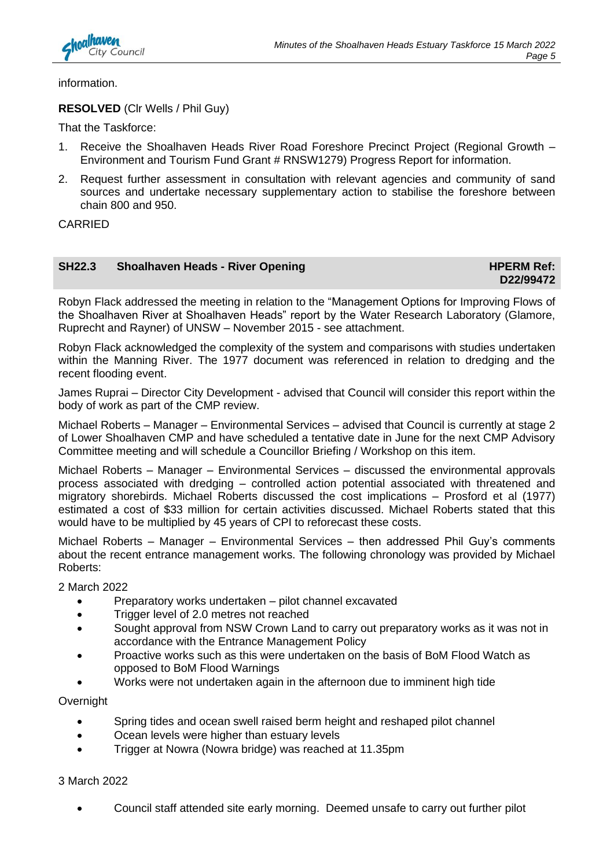

information.

#### **RESOLVED** (Clr Wells / Phil Guy)

That the Taskforce:

- 1. Receive the Shoalhaven Heads River Road Foreshore Precinct Project (Regional Growth Environment and Tourism Fund Grant # RNSW1279) Progress Report for information.
- 2. Request further assessment in consultation with relevant agencies and community of sand sources and undertake necessary supplementary action to stabilise the foreshore between chain 800 and 950.

CARRIED

#### **SH22.3** Shoalhaven Heads - River Opening **HPERM Ref: HPERM Ref:**

**D22/99472**

Robyn Flack addressed the meeting in relation to the "Management Options for Improving Flows of the Shoalhaven River at Shoalhaven Heads" report by the Water Research Laboratory (Glamore, Ruprecht and Rayner) of UNSW – November 2015 - see attachment.

Robyn Flack acknowledged the complexity of the system and comparisons with studies undertaken within the Manning River. The 1977 document was referenced in relation to dredging and the recent flooding event.

James Ruprai – Director City Development - advised that Council will consider this report within the body of work as part of the CMP review.

Michael Roberts – Manager – Environmental Services – advised that Council is currently at stage 2 of Lower Shoalhaven CMP and have scheduled a tentative date in June for the next CMP Advisory Committee meeting and will schedule a Councillor Briefing / Workshop on this item.

Michael Roberts – Manager – Environmental Services – discussed the environmental approvals process associated with dredging – controlled action potential associated with threatened and migratory shorebirds. Michael Roberts discussed the cost implications – Prosford et al (1977) estimated a cost of \$33 million for certain activities discussed. Michael Roberts stated that this would have to be multiplied by 45 years of CPI to reforecast these costs.

Michael Roberts – Manager – Environmental Services – then addressed Phil Guy's comments about the recent entrance management works. The following chronology was provided by Michael Roberts:

2 March 2022

- Preparatory works undertaken pilot channel excavated
- Trigger level of 2.0 metres not reached
- Sought approval from NSW Crown Land to carry out preparatory works as it was not in accordance with the Entrance Management Policy
- Proactive works such as this were undertaken on the basis of BoM Flood Watch as opposed to BoM Flood Warnings
- Works were not undertaken again in the afternoon due to imminent high tide

**Overnight** 

- Spring tides and ocean swell raised berm height and reshaped pilot channel
- Ocean levels were higher than estuary levels
- Trigger at Nowra (Nowra bridge) was reached at 11.35pm

3 March 2022

• Council staff attended site early morning. Deemed unsafe to carry out further pilot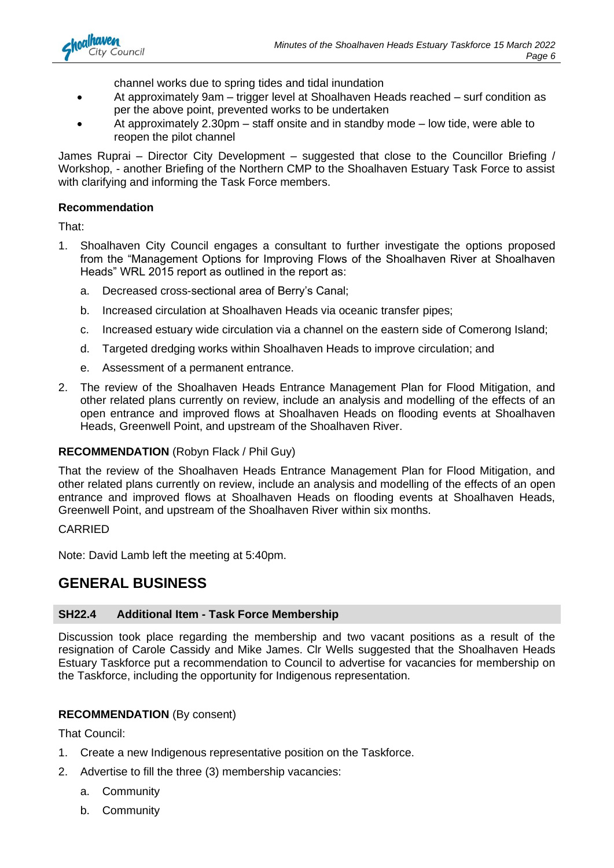

channel works due to spring tides and tidal inundation

- At approximately 9am trigger level at Shoalhaven Heads reached surf condition as per the above point, prevented works to be undertaken
- At approximately 2.30pm staff onsite and in standby mode low tide, were able to reopen the pilot channel

James Ruprai – Director City Development – suggested that close to the Councillor Briefing / Workshop, - another Briefing of the Northern CMP to the Shoalhaven Estuary Task Force to assist with clarifying and informing the Task Force members.

#### **Recommendation**

That:

- 1. Shoalhaven City Council engages a consultant to further investigate the options proposed from the "Management Options for Improving Flows of the Shoalhaven River at Shoalhaven Heads" WRL 2015 report as outlined in the report as:
	- a. Decreased cross-sectional area of Berry's Canal;
	- b. Increased circulation at Shoalhaven Heads via oceanic transfer pipes;
	- c. Increased estuary wide circulation via a channel on the eastern side of Comerong Island;
	- d. Targeted dredging works within Shoalhaven Heads to improve circulation; and
	- e. Assessment of a permanent entrance.
- 2. The review of the Shoalhaven Heads Entrance Management Plan for Flood Mitigation, and other related plans currently on review, include an analysis and modelling of the effects of an open entrance and improved flows at Shoalhaven Heads on flooding events at Shoalhaven Heads, Greenwell Point, and upstream of the Shoalhaven River.

#### **RECOMMENDATION** (Robyn Flack / Phil Guy)

That the review of the Shoalhaven Heads Entrance Management Plan for Flood Mitigation, and other related plans currently on review, include an analysis and modelling of the effects of an open entrance and improved flows at Shoalhaven Heads on flooding events at Shoalhaven Heads, Greenwell Point, and upstream of the Shoalhaven River within six months.

#### CARRIED

Note: David Lamb left the meeting at 5:40pm.

## **GENERAL BUSINESS**

#### **SH22.4 Additional Item - Task Force Membership**

Discussion took place regarding the membership and two vacant positions as a result of the resignation of Carole Cassidy and Mike James. Clr Wells suggested that the Shoalhaven Heads Estuary Taskforce put a recommendation to Council to advertise for vacancies for membership on the Taskforce, including the opportunity for Indigenous representation.

#### **RECOMMENDATION** (By consent)

That Council:

- 1. Create a new Indigenous representative position on the Taskforce.
- 2. Advertise to fill the three (3) membership vacancies:
	- a. Community
	- b. Community